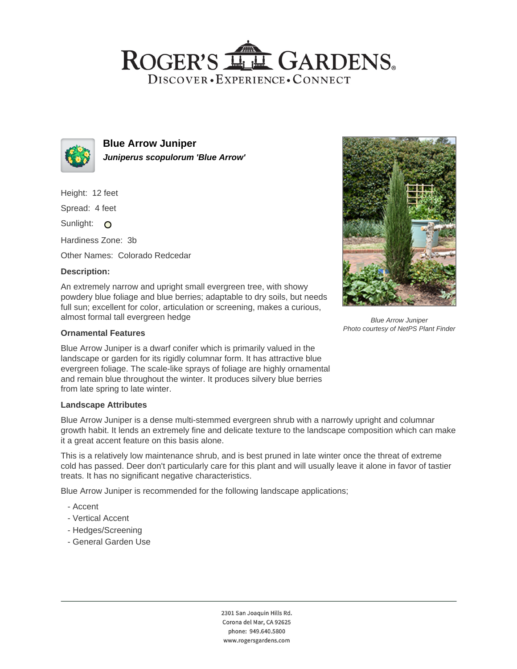# ROGER'S LL GARDENS. DISCOVER · EXPERIENCE · CONNECT



**Blue Arrow Juniper Juniperus scopulorum 'Blue Arrow'**

Height: 12 feet

Spread: 4 feet

Sunlight: O

Hardiness Zone: 3b

Other Names: Colorado Redcedar

# **Description:**

An extremely narrow and upright small evergreen tree, with showy powdery blue foliage and blue berries; adaptable to dry soils, but needs full sun; excellent for color, articulation or screening, makes a curious, almost formal tall evergreen hedge

### **Ornamental Features**

Blue Arrow Juniper is a dwarf conifer which is primarily valued in the landscape or garden for its rigidly columnar form. It has attractive blue evergreen foliage. The scale-like sprays of foliage are highly ornamental and remain blue throughout the winter. It produces silvery blue berries from late spring to late winter.

#### **Landscape Attributes**

Blue Arrow Juniper is a dense multi-stemmed evergreen shrub with a narrowly upright and columnar growth habit. It lends an extremely fine and delicate texture to the landscape composition which can make it a great accent feature on this basis alone.

This is a relatively low maintenance shrub, and is best pruned in late winter once the threat of extreme cold has passed. Deer don't particularly care for this plant and will usually leave it alone in favor of tastier treats. It has no significant negative characteristics.

Blue Arrow Juniper is recommended for the following landscape applications;

- Accent
- Vertical Accent
- Hedges/Screening
- General Garden Use



Blue Arrow Juniper Photo courtesy of NetPS Plant Finder

2301 San Joaquin Hills Rd. Corona del Mar, CA 92625 phone: 949.640.5800 www.rogersgardens.com